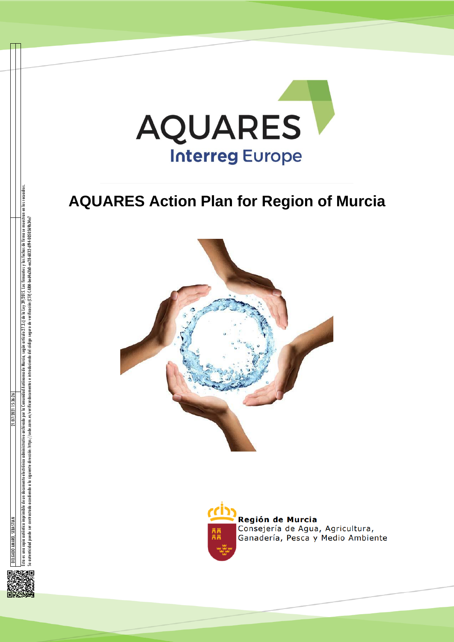

# **AQUARES Action Plan for Region of Murcia**





Región de Murcia Consejería de Agua, Agricultura, Ganadería, Pesca y Medio Ambiente



Su autenticidad puede ser contrastada accediendo a la siguiente dirección: https://sede.carm.es/verificardor.es e introduciendo del código seguro de verificación (CSV) CARM-bed4a3b0-ea28-6032-df94-0050569b34e7



nuerle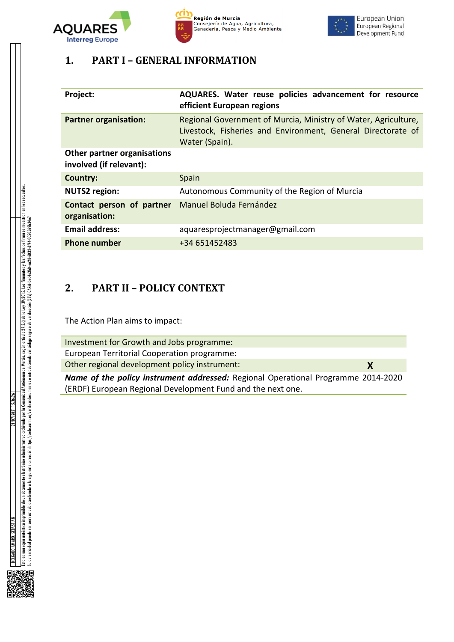





# **1. PART I – GENERAL INFORMATION**

| Project:                                               | AQUARES. Water reuse policies advancement for resource<br>efficient European regions                                                             |
|--------------------------------------------------------|--------------------------------------------------------------------------------------------------------------------------------------------------|
| <b>Partner organisation:</b>                           | Regional Government of Murcia, Ministry of Water, Agriculture,<br>Livestock, Fisheries and Environment, General Directorate of<br>Water (Spain). |
| Other partner organisations<br>involved (if relevant): |                                                                                                                                                  |
| Country:                                               | Spain                                                                                                                                            |
| <b>NUTS2 region:</b>                                   | Autonomous Community of the Region of Murcia                                                                                                     |
| Contact person of partner<br>organisation:             | Manuel Boluda Fernández                                                                                                                          |
| <b>Email address:</b>                                  | aquaresprojectmanager@gmail.com                                                                                                                  |
| <b>Phone number</b>                                    | +34 651452483                                                                                                                                    |

# **2. PART II – POLICY CONTEXT**

The Action Plan aims to impact:

| Investment for Growth and Jobs programme:                                                |   |
|------------------------------------------------------------------------------------------|---|
| European Territorial Cooperation programme:                                              |   |
| Other regional development policy instrument:                                            | X |
| <b>Name of the policy instrument addressed:</b> Regional Operational Programme 2014-2020 |   |
| (ERDF) European Regional Development Fund and the next one.                              |   |

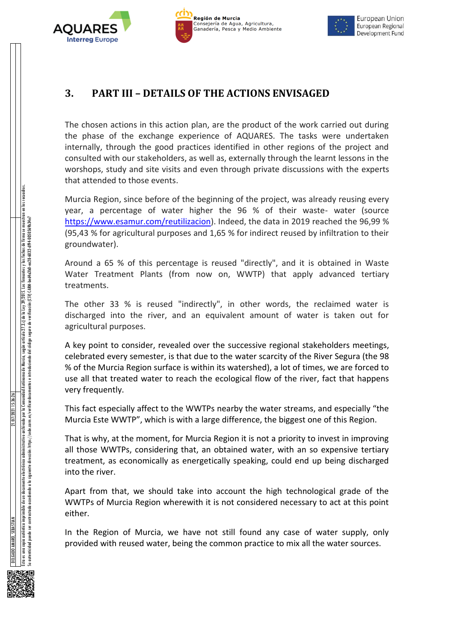



# **3. PART III – DETAILS OF THE ACTIONS ENVISAGED**

The chosen actions in this action plan, are the product of the work carried out during the phase of the exchange experience of AQUARES. The tasks were undertaken internally, through the good practices identified in other regions of the project and consulted with our stakeholders, as well as, externally through the learnt lessons in the worshops, study and site visits and even through private discussions with the experts that attended to those events.

Murcia Region, since before of the beginning of the project, was already reusing every year, a percentage of water higher the 96 % of their waste- water (source [https://www.esamur.com/reutilizacion\)](https://www.esamur.com/reutilizacion). Indeed, the data in 2019 reached the 96,99 % (95,43 % for agricultural purposes and 1,65 % for indirect reused by infiltration to their groundwater).

Around a 65 % of this percentage is reused "directly", and it is obtained in Waste Water Treatment Plants (from now on, WWTP) that apply advanced tertiary treatments.

The other 33 % is reused "indirectly", in other words, the reclaimed water is discharged into the river, and an equivalent amount of water is taken out for agricultural purposes.

A key point to consider, revealed over the successive regional stakeholders meetings, celebrated every semester, is that due to the water scarcity of the River Segura (the 98 % of the Murcia Region surface is within its watershed), a lot of times, we are forced to use all that treated water to reach the ecological flow of the river, fact that happens very frequently.

This fact especially affect to the WWTPs nearby the water streams, and especially "the Murcia Este WWTP", which is with a large difference, the biggest one of this Region.

That is why, at the moment, for Murcia Region it is not a priority to invest in improving all those WWTPs, considering that, an obtained water, with an so expensive tertiary treatment, as economically as energetically speaking, could end up being discharged into the river.

Apart from that, we should take into account the high technological grade of the WWTPs of Murcia Region wherewith it is not considered necessary to act at this point either.

In the Region of Murcia, we have not still found any case of water supply, only provided with reused water, being the common practice to mix all the water sources.

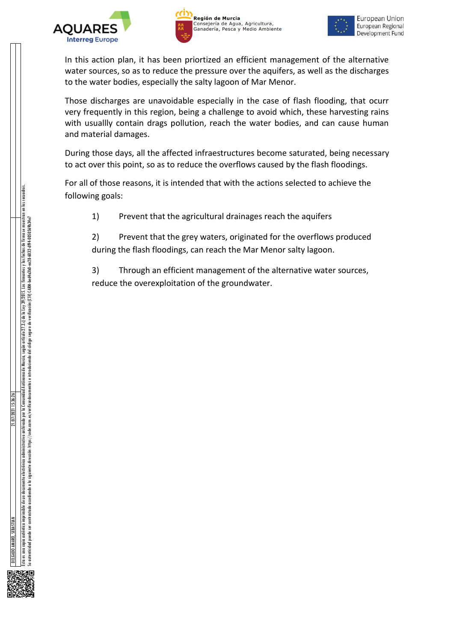





In this action plan, it has been priortized an efficient management of the alternative water sources, so as to reduce the pressure over the aquifers, as well as the discharges to the water bodies, especially the salty lagoon of Mar Menor.

Those discharges are unavoidable especially in the case of flash flooding, that ocurr very frequently in this region, being a challenge to avoid which, these harvesting rains with usuallly contain drags pollution, reach the water bodies, and can cause human and material damages.

During those days, all the affected infraestructures become saturated, being necessary to act over this point, so as to reduce the overflows caused by the flash floodings.

For all of those reasons, it is intended that with the actions selected to achieve the following goals:

1) Prevent that the agricultural drainages reach the aquifers

2) Prevent that the grey waters, originated for the overflows produced during the flash floodings, can reach the Mar Menor salty lagoon.

3) Through an efficient management of the alternative water sources, reduce the overexploitation of the groundwater.

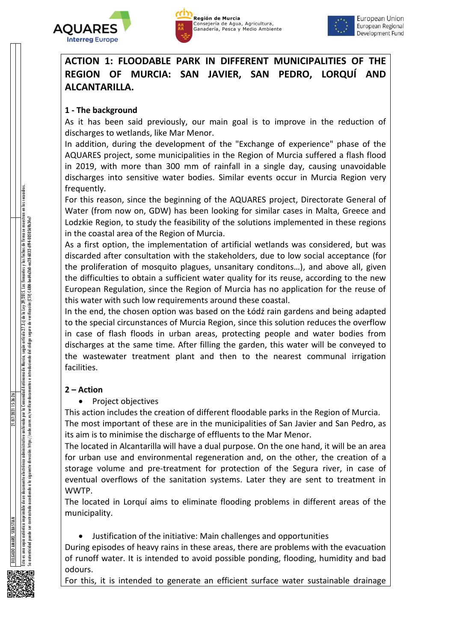





**ACTION 1: FLOODABLE PARK IN DIFFERENT MUNICIPALITIES OF THE REGION OF MURCIA: SAN JAVIER, SAN PEDRO, LORQUÍ AND ALCANTARILLA.**

### **1 - The background**

As it has been said previously, our main goal is to improve in the reduction of discharges to wetlands, like Mar Menor.

In addition, during the development of the "Exchange of experience" phase of the AQUARES project, some municipalities in the Region of Murcia suffered a flash flood in 2019, with more than 300 mm of rainfall in a single day, causing unavoidable discharges into sensitive water bodies. Similar events occur in Murcia Region very frequently.

For this reason, since the beginning of the AQUARES project, Directorate General of Water (from now on, GDW) has been looking for similar cases in Malta, Greece and Lodzkie Region, to study the feasibility of the solutions implemented in these regions in the coastal area of the Region of Murcia.

As a first option, the implementation of artificial wetlands was considered, but was discarded after consultation with the stakeholders, due to low social acceptance (for the proliferation of mosquito plagues, unsanitary conditons…), and above all, given the difficulties to obtain a sufficient water quality for its reuse, according to the new European Regulation, since the Region of Murcia has no application for the reuse of this water with such low requirements around these coastal.

In the end, the chosen option was based on the Łódź rain gardens and being adapted to the special circunstances of Murcia Region, since this solution reduces the overflow in case of flash floods in urban areas, protecting people and water bodies from discharges at the same time. After filling the garden, this water will be conveyed to the wastewater treatment plant and then to the nearest communal irrigation facilities.

### **2 – Action**

• Project objectives

This action includes the creation of different floodable parks in the Region of Murcia. The most important of these are in the municipalities of San Javier and San Pedro, as its aim is to minimise the discharge of effluents to the Mar Menor.

The located in Alcantarilla will have a dual purpose. On the one hand, it will be an area for urban use and environmental regeneration and, on the other, the creation of a storage volume and pre-treatment for protection of the Segura river, in case of eventual overflows of the sanitation systems. Later they are sent to treatment in WWTP.

The located in Lorquí aims to eliminate flooding problems in different areas of the municipality.

Justification of the initiative: Main challenges and opportunities

During episodes of heavy rains in these areas, there are problems with the evacuation of runoff water. It is intended to avoid possible ponding, flooding, humidity and bad odours.

For this, it is intended to generate an efficient surface water sustainable drainage

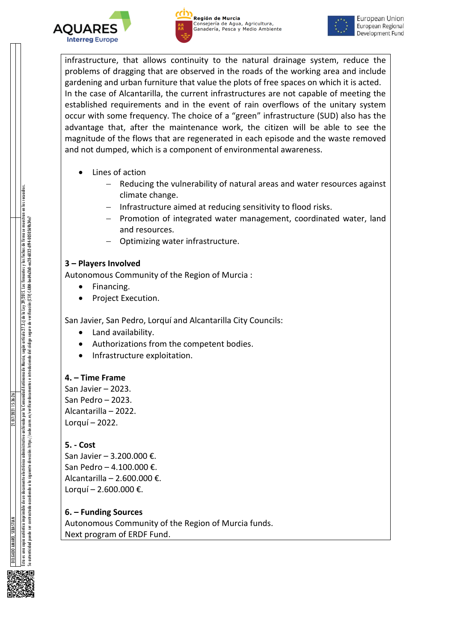





infrastructure, that allows continuity to the natural drainage system, reduce the problems of dragging that are observed in the roads of the working area and include gardening and urban furniture that value the plots of free spaces on which it is acted. In the case of Alcantarilla, the current infrastructures are not capable of meeting the established requirements and in the event of rain overflows of the unitary system occur with some frequency. The choice of a "green" infrastructure (SUD) also has the advantage that, after the maintenance work, the citizen will be able to see the magnitude of the flows that are regenerated in each episode and the waste removed and not dumped, which is a component of environmental awareness.

- Lines of action
	- Reducing the vulnerability of natural areas and water resources against climate change.
	- Infrastructure aimed at reducing sensitivity to flood risks.
	- Promotion of integrated water management, coordinated water, land and resources.
	- Optimizing water infrastructure.

### **3 – Players Involved**

Autonomous Community of the Region of Murcia :

- Financing.
- Project Execution.

San Javier, San Pedro, Lorquí and Alcantarilla City Councils:

- Land availability.
- Authorizations from the competent bodies.
- Infrastructure exploitation.

### **4. – Time Frame**

San Javier – 2023. San Pedro – 2023. Alcantarilla – 2022. Lorquí – 2022.

### **5. - Cost**

San Javier – 3.200.000 €. San Pedro – 4.100.000 €. Alcantarilla – 2.600.000 €. Lorquí – 2.600.000 €.

### **6. – Funding Sources**

Autonomous Community of the Region of Murcia funds. Next program of ERDF Fund.

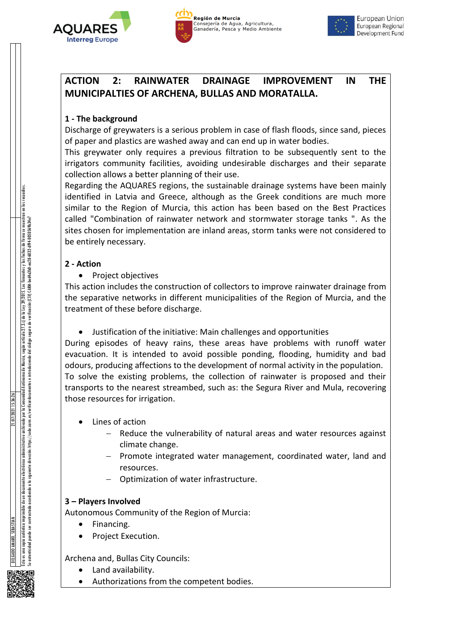





European Union European Regional Development Fund

### **ACTION 2: RAINWATER DRAINAGE IMPROVEMENT IN THE MUNICIPALTIES OF ARCHENA, BULLAS AND MORATALLA.**

### **1 - The background**

Discharge of greywaters is a serious problem in case of flash floods, since sand, pieces of paper and plastics are washed away and can end up in water bodies.

This greywater only requires a previous filtration to be subsequently sent to the irrigators community facilities, avoiding undesirable discharges and their separate collection allows a better planning of their use.

Regarding the AQUARES regions, the sustainable drainage systems have been mainly identified in Latvia and Greece, although as the Greek conditions are much more similar to the Region of Murcia, this action has been based on the Best Practices called "Combination of rainwater network and stormwater storage tanks ". As the sites chosen for implementation are inland areas, storm tanks were not considered to be entirely necessary.

### **2 - Action**

• Project objectives

This action includes the construction of collectors to improve rainwater drainage from the separative networks in different municipalities of the Region of Murcia, and the treatment of these before discharge.

Justification of the initiative: Main challenges and opportunities

During episodes of heavy rains, these areas have problems with runoff water evacuation. It is intended to avoid possible ponding, flooding, humidity and bad odours, producing affections to the development of normal activity in the population. To solve the existing problems, the collection of rainwater is proposed and their transports to the nearest streambed, such as: the Segura River and Mula, recovering those resources for irrigation.

- Lines of action
	- Reduce the vulnerability of natural areas and water resources against climate change.
	- Promote integrated water management, coordinated water, land and resources.
	- Optimization of water infrastructure.

### **3 – Players Involved**

Autonomous Community of the Region of Murcia:

- Financing.
- Project Execution.

Archena and, Bullas City Councils:

- Land availability.
- Authorizations from the competent bodies.

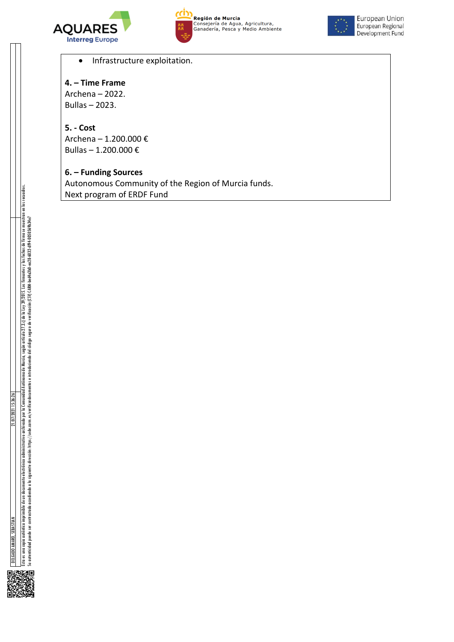



**Región de Murcia**<br>Consejería de Agua, Agricultura,<br>Ganadería, Pesca y Medio Ambiente



European Union European Regional Development Fund

• Infrastructure exploitation.

### **4. – Time Frame**

Archena – 2022. Bullas – 2023.

### **5. - Cost**

Archena – 1.200.000 € Bullas – 1.200.000 €

### **6. – Funding Sources**

Autonomous Community of the Region of Murcia funds. Next program of ERDF Fund

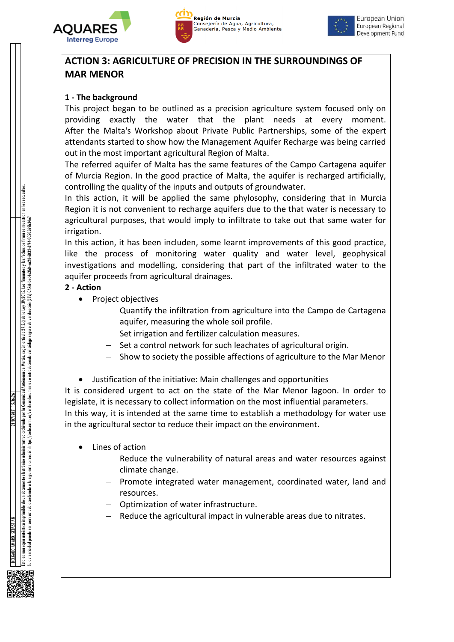





# **ACTION 3: AGRICULTURE OF PRECISION IN THE SURROUNDINGS OF MAR MENOR**

### **1 - The background**

This project began to be outlined as a precision agriculture system focused only on providing exactly the water that the plant needs at every moment. After the Malta's Workshop about Private Public Partnerships, some of the expert attendants started to show how the Management Aquifer Recharge was being carried out in the most important agricultural Region of Malta.

The referred aquifer of Malta has the same features of the Campo Cartagena aquifer of Murcia Region. In the good practice of Malta, the aquifer is recharged artificially, controlling the quality of the inputs and outputs of groundwater.

In this action, it will be applied the same phylosophy, considering that in Murcia Region it is not convenient to recharge aquifers due to the that water is necessary to agricultural purposes, that would imply to infiltrate to take out that same water for irrigation.

In this action, it has been includen, some learnt improvements of this good practice, like the process of monitoring water quality and water level, geophysical investigations and modelling, considering that part of the infiltrated water to the aquifer proceeds from agricultural drainages.

### **2 - Action**

- Project objectives
	- Quantify the infiltration from agriculture into the Campo de Cartagena aquifer, measuring the whole soil profile.
	- Set irrigation and fertilizer calculation measures.
	- $-$  Set a control network for such leachates of agricultural origin.
	- Show to society the possible affections of agriculture to the Mar Menor
- Justification of the initiative: Main challenges and opportunities

It is considered urgent to act on the state of the Mar Menor lagoon. In order to legislate, it is necessary to collect information on the most influential parameters. In this way, it is intended at the same time to establish a methodology for water use

in the agricultural sector to reduce their impact on the environment.

- Lines of action
	- Reduce the vulnerability of natural areas and water resources against climate change.
	- Promote integrated water management, coordinated water, land and resources.
	- Optimization of water infrastructure.
	- Reduce the agricultural impact in vulnerable areas due to nitrates.

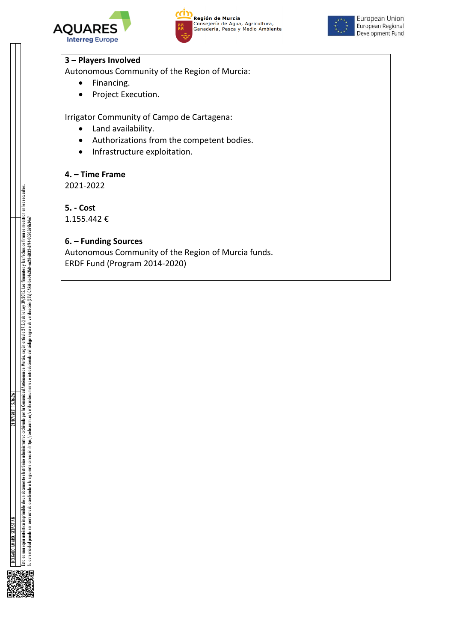





#### **3 – Players Involved**

Autonomous Community of the Region of Murcia:

- Financing.
- Project Execution.

Irrigator Community of Campo de Cartagena:

- Land availability.
- Authorizations from the competent bodies.
- Infrastructure exploitation.

#### **4. – Time Frame**

2021-2022

**5. - Cost**

1.155.442 €

#### **6. – Funding Sources**

Autonomous Community of the Region of Murcia funds. ERDF Fund (Program 2014-2020)

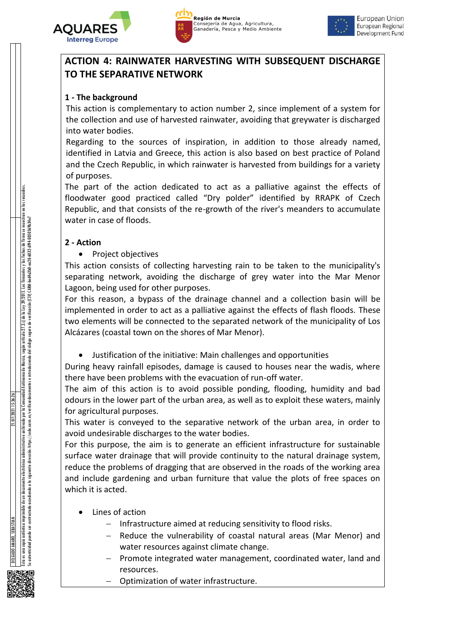





### **ACTION 4: RAINWATER HARVESTING WITH SUBSEQUENT DISCHARGE TO THE SEPARATIVE NETWORK**

### **1 - The background**

This action is complementary to action number 2, since implement of a system for the collection and use of harvested rainwater, avoiding that greywater is discharged into water bodies.

Regarding to the sources of inspiration, in addition to those already named, identified in Latvia and Greece, this action is also based on best practice of Poland and the Czech Republic, in which rainwater is harvested from buildings for a variety of purposes.

The part of the action dedicated to act as a palliative against the effects of floodwater good practiced called "Dry polder" identified by RRAPK of Czech Republic, and that consists of the re-growth of the river's meanders to accumulate water in case of floods.

### **2 - Action**

• Project objectives

This action consists of collecting harvesting rain to be taken to the municipality's separating network, avoiding the discharge of grey water into the Mar Menor Lagoon, being used for other purposes.

For this reason, a bypass of the drainage channel and a collection basin will be implemented in order to act as a palliative against the effects of flash floods. These two elements will be connected to the separated network of the municipality of Los Alcázares (coastal town on the shores of Mar Menor).

Justification of the initiative: Main challenges and opportunities

During heavy rainfall episodes, damage is caused to houses near the wadis, where there have been problems with the evacuation of run-off water.

The aim of this action is to avoid possible ponding, flooding, humidity and bad odours in the lower part of the urban area, as well as to exploit these waters, mainly for agricultural purposes.

This water is conveyed to the separative network of the urban area, in order to avoid undesirable discharges to the water bodies.

For this purpose, the aim is to generate an efficient infrastructure for sustainable surface water drainage that will provide continuity to the natural drainage system, reduce the problems of dragging that are observed in the roads of the working area and include gardening and urban furniture that value the plots of free spaces on which it is acted.

- Lines of action
	- $-$  Infrastructure aimed at reducing sensitivity to flood risks.
	- Reduce the vulnerability of coastal natural areas (Mar Menor) and water resources against climate change.
	- Promote integrated water management, coordinated water, land and resources.
	- Optimization of water infrastructure.